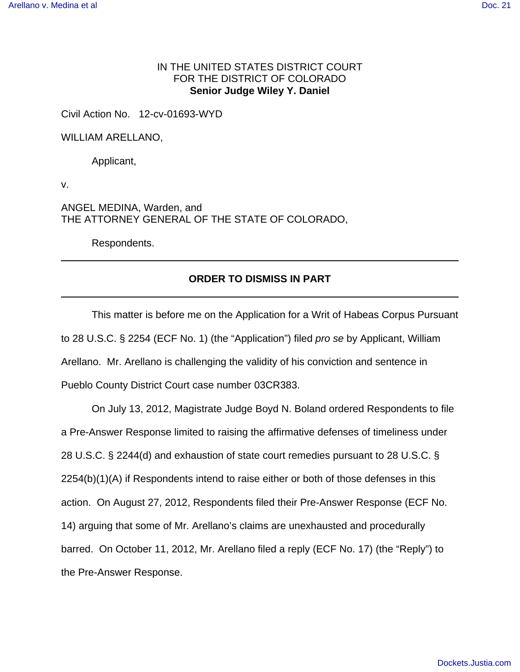# IN THE UNITED STATES DISTRICT COURT FOR THE DISTRICT OF COLORADO **Senior Judge Wiley Y. Daniel**

Civil Action No. 12-cv-01693-WYD

WILLIAM ARELLANO,

Applicant,

v.

ANGEL MEDINA, Warden, and THE ATTORNEY GENERAL OF THE STATE OF COLORADO,

Respondents.

# **ORDER TO DISMISS IN PART**

This matter is before me on the Application for a Writ of Habeas Corpus Pursuant to 28 U.S.C. § 2254 (ECF No. 1) (the "Application") filed pro se by Applicant, William Arellano. Mr. Arellano is challenging the validity of his conviction and sentence in Pueblo County District Court case number 03CR383.

On July 13, 2012, Magistrate Judge Boyd N. Boland ordered Respondents to file a Pre-Answer Response limited to raising the affirmative defenses of timeliness under 28 U.S.C. § 2244(d) and exhaustion of state court remedies pursuant to 28 U.S.C. § 2254(b)(1)(A) if Respondents intend to raise either or both of those defenses in this action. On August 27, 2012, Respondents filed their Pre-Answer Response (ECF No. 14) arguing that some of Mr. Arellano's claims are unexhausted and procedurally barred. On October 11, 2012, Mr. Arellano filed a reply (ECF No. 17) (the "Reply") to the Pre-Answer Response.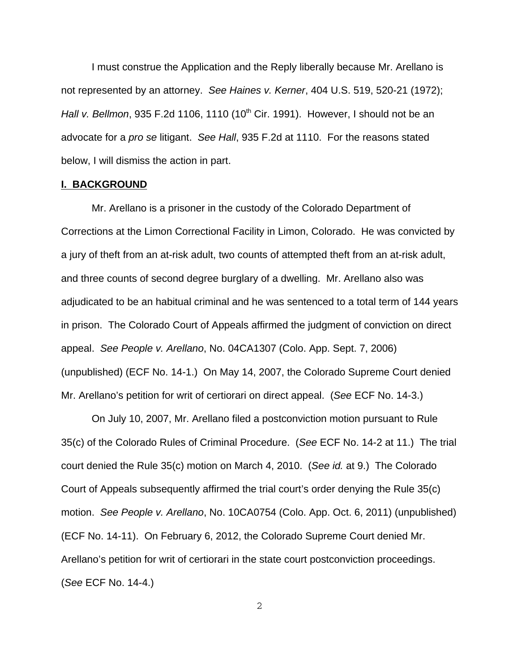I must construe the Application and the Reply liberally because Mr. Arellano is not represented by an attorney. See Haines v. Kerner, 404 U.S. 519, 520-21 (1972); Hall v. Bellmon, 935 F.2d 1106, 1110 (10<sup>th</sup> Cir. 1991). However, I should not be an advocate for a pro se litigant. See Hall, 935 F.2d at 1110. For the reasons stated below, I will dismiss the action in part.

# **I. BACKGROUND**

Mr. Arellano is a prisoner in the custody of the Colorado Department of Corrections at the Limon Correctional Facility in Limon, Colorado. He was convicted by a jury of theft from an at-risk adult, two counts of attempted theft from an at-risk adult, and three counts of second degree burglary of a dwelling. Mr. Arellano also was adjudicated to be an habitual criminal and he was sentenced to a total term of 144 years in prison. The Colorado Court of Appeals affirmed the judgment of conviction on direct appeal. See People v. Arellano, No. 04CA1307 (Colo. App. Sept. 7, 2006) (unpublished) (ECF No. 14-1.) On May 14, 2007, the Colorado Supreme Court denied Mr. Arellano's petition for writ of certiorari on direct appeal. (See ECF No. 14-3.)

On July 10, 2007, Mr. Arellano filed a postconviction motion pursuant to Rule 35(c) of the Colorado Rules of Criminal Procedure. (See ECF No. 14-2 at 11.) The trial court denied the Rule 35(c) motion on March 4, 2010. (See id. at 9.) The Colorado Court of Appeals subsequently affirmed the trial court's order denying the Rule 35(c) motion. See People v. Arellano, No. 10CA0754 (Colo. App. Oct. 6, 2011) (unpublished) (ECF No. 14-11). On February 6, 2012, the Colorado Supreme Court denied Mr. Arellano's petition for writ of certiorari in the state court postconviction proceedings. (See ECF No. 14-4.)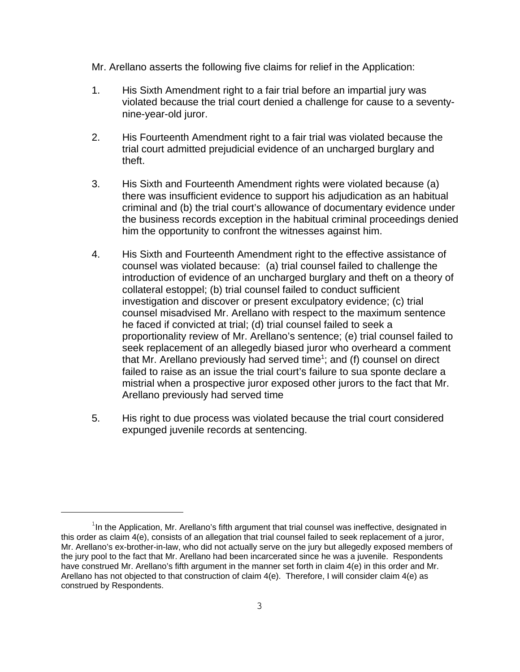Mr. Arellano asserts the following five claims for relief in the Application:

- 1. His Sixth Amendment right to a fair trial before an impartial jury was violated because the trial court denied a challenge for cause to a seventynine-year-old juror.
- 2. His Fourteenth Amendment right to a fair trial was violated because the trial court admitted prejudicial evidence of an uncharged burglary and theft.
- 3. His Sixth and Fourteenth Amendment rights were violated because (a) there was insufficient evidence to support his adjudication as an habitual criminal and (b) the trial court's allowance of documentary evidence under the business records exception in the habitual criminal proceedings denied him the opportunity to confront the witnesses against him.
- 4. His Sixth and Fourteenth Amendment right to the effective assistance of counsel was violated because: (a) trial counsel failed to challenge the introduction of evidence of an uncharged burglary and theft on a theory of collateral estoppel; (b) trial counsel failed to conduct sufficient investigation and discover or present exculpatory evidence; (c) trial counsel misadvised Mr. Arellano with respect to the maximum sentence he faced if convicted at trial; (d) trial counsel failed to seek a proportionality review of Mr. Arellano's sentence; (e) trial counsel failed to seek replacement of an allegedly biased juror who overheard a comment that Mr. Arellano previously had served time<sup>1</sup>; and (f) counsel on direct failed to raise as an issue the trial court's failure to sua sponte declare a mistrial when a prospective juror exposed other jurors to the fact that Mr. Arellano previously had served time
- 5. His right to due process was violated because the trial court considered expunged juvenile records at sentencing.

 $1$ In the Application, Mr. Arellano's fifth argument that trial counsel was ineffective, designated in this order as claim 4(e), consists of an allegation that trial counsel failed to seek replacement of a juror, Mr. Arellano's ex-brother-in-law, who did not actually serve on the jury but allegedly exposed members of the jury pool to the fact that Mr. Arellano had been incarcerated since he was a juvenile. Respondents have construed Mr. Arellano's fifth argument in the manner set forth in claim 4(e) in this order and Mr. Arellano has not objected to that construction of claim 4(e). Therefore, I will consider claim 4(e) as construed by Respondents.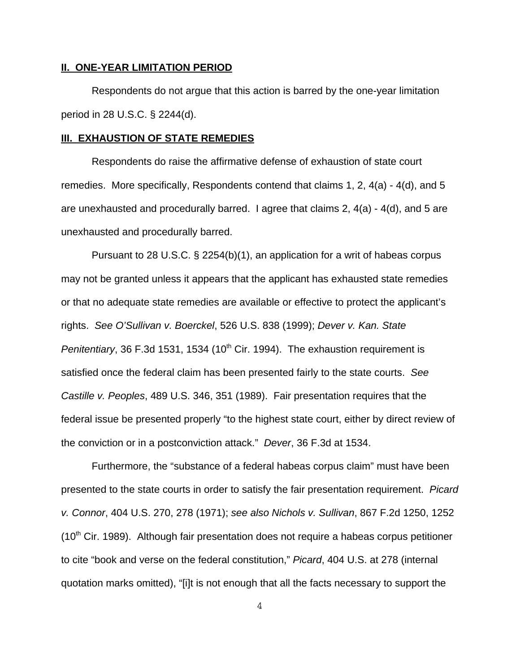## **II. ONE-YEAR LIMITATION PERIOD**

Respondents do not argue that this action is barred by the one-year limitation period in 28 U.S.C. § 2244(d).

# **III. EXHAUSTION OF STATE REMEDIES**

Respondents do raise the affirmative defense of exhaustion of state court remedies. More specifically, Respondents contend that claims 1, 2, 4(a) - 4(d), and 5 are unexhausted and procedurally barred. I agree that claims 2, 4(a) - 4(d), and 5 are unexhausted and procedurally barred.

Pursuant to 28 U.S.C. § 2254(b)(1), an application for a writ of habeas corpus may not be granted unless it appears that the applicant has exhausted state remedies or that no adequate state remedies are available or effective to protect the applicant's rights. See O'Sullivan v. Boerckel, 526 U.S. 838 (1999); Dever v. Kan. State Penitentiary, 36 F.3d 1531, 1534 (10<sup>th</sup> Cir. 1994). The exhaustion requirement is satisfied once the federal claim has been presented fairly to the state courts. See Castille v. Peoples, 489 U.S. 346, 351 (1989). Fair presentation requires that the federal issue be presented properly "to the highest state court, either by direct review of the conviction or in a postconviction attack." Dever, 36 F.3d at 1534.

Furthermore, the "substance of a federal habeas corpus claim" must have been presented to the state courts in order to satisfy the fair presentation requirement. Picard v. Connor, 404 U.S. 270, 278 (1971); see also Nichols v. Sullivan, 867 F.2d 1250, 1252  $(10<sup>th</sup>$  Cir. 1989). Although fair presentation does not require a habeas corpus petitioner to cite "book and verse on the federal constitution," Picard, 404 U.S. at 278 (internal quotation marks omitted), "[i]t is not enough that all the facts necessary to support the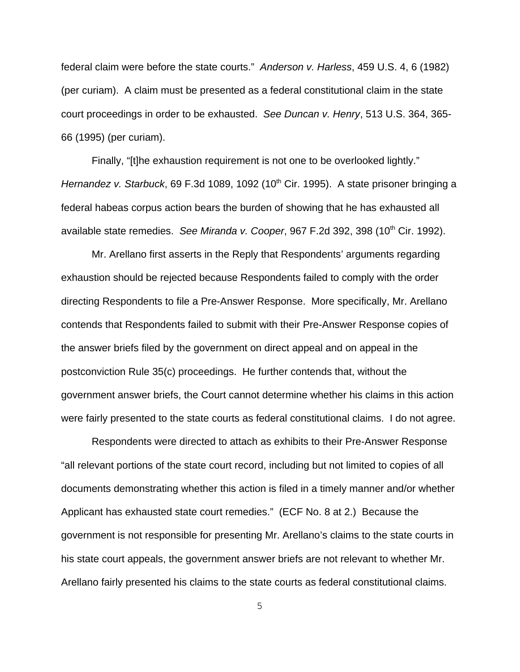federal claim were before the state courts." Anderson v. Harless, 459 U.S. 4, 6 (1982) (per curiam). A claim must be presented as a federal constitutional claim in the state court proceedings in order to be exhausted. See Duncan v. Henry, 513 U.S. 364, 365- 66 (1995) (per curiam).

Finally, "[t]he exhaustion requirement is not one to be overlooked lightly." Hernandez v. Starbuck, 69 F.3d 1089, 1092 (10<sup>th</sup> Cir. 1995). A state prisoner bringing a federal habeas corpus action bears the burden of showing that he has exhausted all available state remedies. See Miranda v. Cooper, 967 F.2d 392, 398 (10<sup>th</sup> Cir. 1992).

Mr. Arellano first asserts in the Reply that Respondents' arguments regarding exhaustion should be rejected because Respondents failed to comply with the order directing Respondents to file a Pre-Answer Response. More specifically, Mr. Arellano contends that Respondents failed to submit with their Pre-Answer Response copies of the answer briefs filed by the government on direct appeal and on appeal in the postconviction Rule 35(c) proceedings. He further contends that, without the government answer briefs, the Court cannot determine whether his claims in this action were fairly presented to the state courts as federal constitutional claims. I do not agree.

Respondents were directed to attach as exhibits to their Pre-Answer Response "all relevant portions of the state court record, including but not limited to copies of all documents demonstrating whether this action is filed in a timely manner and/or whether Applicant has exhausted state court remedies." (ECF No. 8 at 2.) Because the government is not responsible for presenting Mr. Arellano's claims to the state courts in his state court appeals, the government answer briefs are not relevant to whether Mr. Arellano fairly presented his claims to the state courts as federal constitutional claims.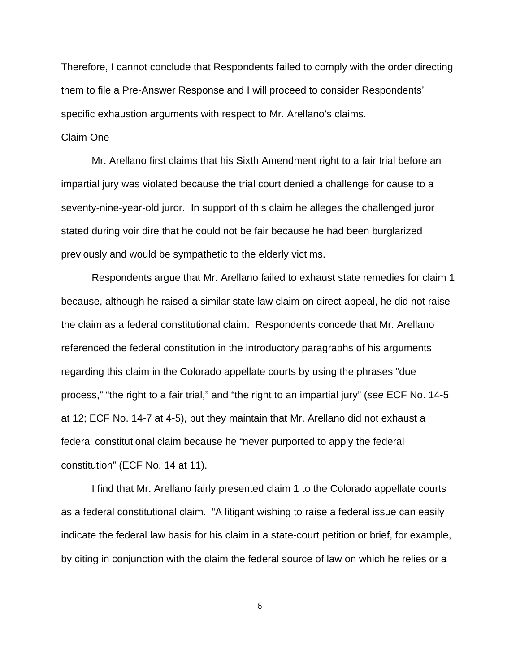Therefore, I cannot conclude that Respondents failed to comply with the order directing them to file a Pre-Answer Response and I will proceed to consider Respondents' specific exhaustion arguments with respect to Mr. Arellano's claims.

## Claim One

Mr. Arellano first claims that his Sixth Amendment right to a fair trial before an impartial jury was violated because the trial court denied a challenge for cause to a seventy-nine-year-old juror. In support of this claim he alleges the challenged juror stated during voir dire that he could not be fair because he had been burglarized previously and would be sympathetic to the elderly victims.

Respondents argue that Mr. Arellano failed to exhaust state remedies for claim 1 because, although he raised a similar state law claim on direct appeal, he did not raise the claim as a federal constitutional claim. Respondents concede that Mr. Arellano referenced the federal constitution in the introductory paragraphs of his arguments regarding this claim in the Colorado appellate courts by using the phrases "due process," "the right to a fair trial," and "the right to an impartial jury" (see ECF No. 14-5 at 12; ECF No. 14-7 at 4-5), but they maintain that Mr. Arellano did not exhaust a federal constitutional claim because he "never purported to apply the federal constitution" (ECF No. 14 at 11).

I find that Mr. Arellano fairly presented claim 1 to the Colorado appellate courts as a federal constitutional claim. "A litigant wishing to raise a federal issue can easily indicate the federal law basis for his claim in a state-court petition or brief, for example, by citing in conjunction with the claim the federal source of law on which he relies or a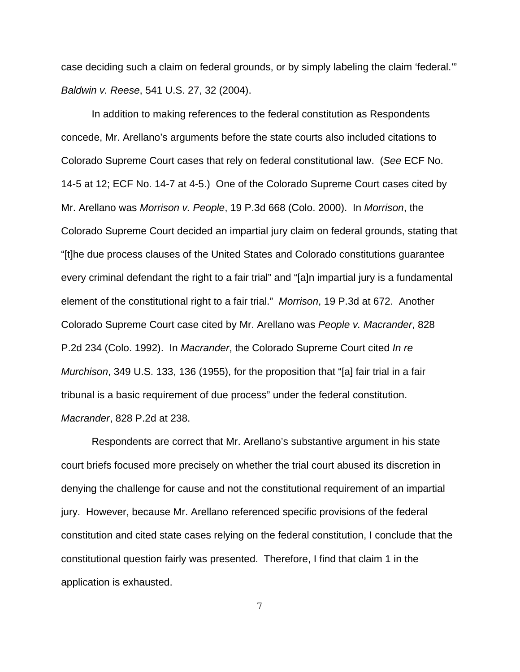case deciding such a claim on federal grounds, or by simply labeling the claim 'federal.'" Baldwin v. Reese, 541 U.S. 27, 32 (2004).

In addition to making references to the federal constitution as Respondents concede, Mr. Arellano's arguments before the state courts also included citations to Colorado Supreme Court cases that rely on federal constitutional law. (See ECF No. 14-5 at 12; ECF No. 14-7 at 4-5.) One of the Colorado Supreme Court cases cited by Mr. Arellano was Morrison v. People, 19 P.3d 668 (Colo. 2000). In Morrison, the Colorado Supreme Court decided an impartial jury claim on federal grounds, stating that "[t]he due process clauses of the United States and Colorado constitutions guarantee every criminal defendant the right to a fair trial" and "[a]n impartial jury is a fundamental element of the constitutional right to a fair trial." Morrison, 19 P.3d at 672. Another Colorado Supreme Court case cited by Mr. Arellano was People v. Macrander, 828 P.2d 234 (Colo. 1992). In Macrander, the Colorado Supreme Court cited In re Murchison, 349 U.S. 133, 136 (1955), for the proposition that "[a] fair trial in a fair tribunal is a basic requirement of due process" under the federal constitution. Macrander, 828 P.2d at 238.

Respondents are correct that Mr. Arellano's substantive argument in his state court briefs focused more precisely on whether the trial court abused its discretion in denying the challenge for cause and not the constitutional requirement of an impartial jury. However, because Mr. Arellano referenced specific provisions of the federal constitution and cited state cases relying on the federal constitution, I conclude that the constitutional question fairly was presented. Therefore, I find that claim 1 in the application is exhausted.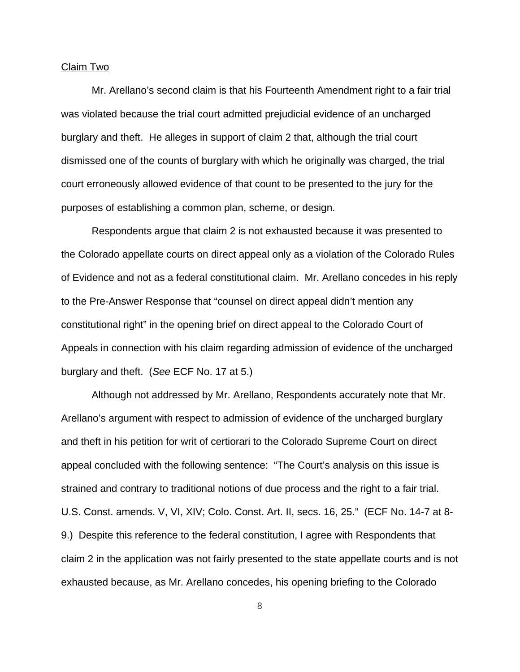#### Claim Two

Mr. Arellano's second claim is that his Fourteenth Amendment right to a fair trial was violated because the trial court admitted prejudicial evidence of an uncharged burglary and theft. He alleges in support of claim 2 that, although the trial court dismissed one of the counts of burglary with which he originally was charged, the trial court erroneously allowed evidence of that count to be presented to the jury for the purposes of establishing a common plan, scheme, or design.

Respondents argue that claim 2 is not exhausted because it was presented to the Colorado appellate courts on direct appeal only as a violation of the Colorado Rules of Evidence and not as a federal constitutional claim. Mr. Arellano concedes in his reply to the Pre-Answer Response that "counsel on direct appeal didn't mention any constitutional right" in the opening brief on direct appeal to the Colorado Court of Appeals in connection with his claim regarding admission of evidence of the uncharged burglary and theft. (See ECF No. 17 at 5.)

Although not addressed by Mr. Arellano, Respondents accurately note that Mr. Arellano's argument with respect to admission of evidence of the uncharged burglary and theft in his petition for writ of certiorari to the Colorado Supreme Court on direct appeal concluded with the following sentence: "The Court's analysis on this issue is strained and contrary to traditional notions of due process and the right to a fair trial. U.S. Const. amends. V, VI, XIV; Colo. Const. Art. II, secs. 16, 25." (ECF No. 14-7 at 8- 9.) Despite this reference to the federal constitution, I agree with Respondents that claim 2 in the application was not fairly presented to the state appellate courts and is not exhausted because, as Mr. Arellano concedes, his opening briefing to the Colorado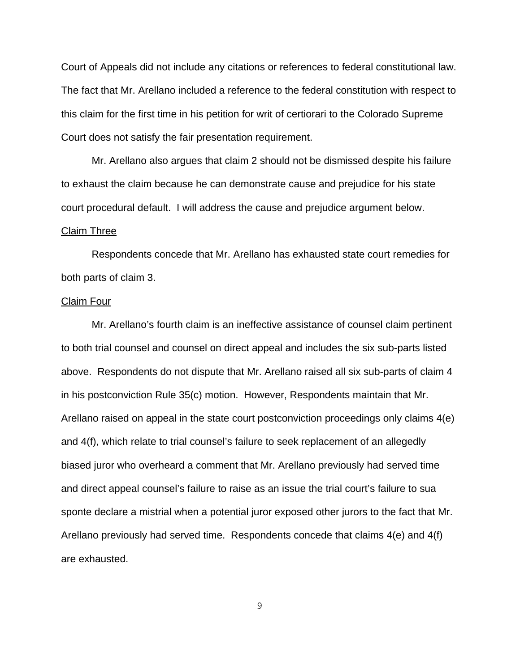Court of Appeals did not include any citations or references to federal constitutional law. The fact that Mr. Arellano included a reference to the federal constitution with respect to this claim for the first time in his petition for writ of certiorari to the Colorado Supreme Court does not satisfy the fair presentation requirement.

Mr. Arellano also argues that claim 2 should not be dismissed despite his failure to exhaust the claim because he can demonstrate cause and prejudice for his state court procedural default. I will address the cause and prejudice argument below.

#### Claim Three

Respondents concede that Mr. Arellano has exhausted state court remedies for both parts of claim 3.

#### Claim Four

Mr. Arellano's fourth claim is an ineffective assistance of counsel claim pertinent to both trial counsel and counsel on direct appeal and includes the six sub-parts listed above. Respondents do not dispute that Mr. Arellano raised all six sub-parts of claim 4 in his postconviction Rule 35(c) motion. However, Respondents maintain that Mr. Arellano raised on appeal in the state court postconviction proceedings only claims 4(e) and 4(f), which relate to trial counsel's failure to seek replacement of an allegedly biased juror who overheard a comment that Mr. Arellano previously had served time and direct appeal counsel's failure to raise as an issue the trial court's failure to sua sponte declare a mistrial when a potential juror exposed other jurors to the fact that Mr. Arellano previously had served time. Respondents concede that claims 4(e) and 4(f) are exhausted.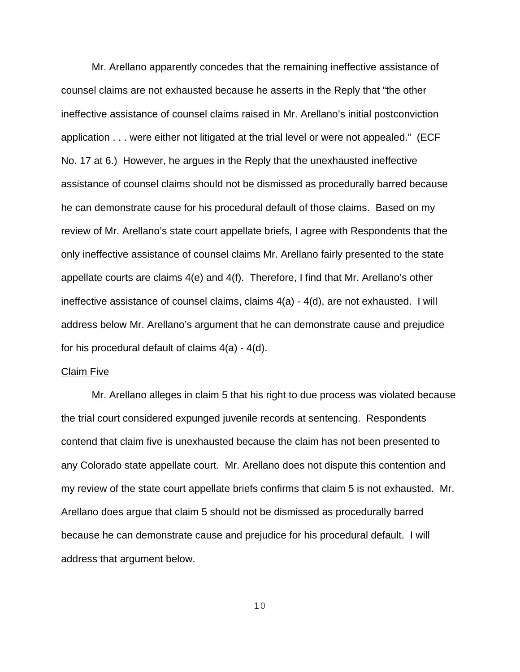Mr. Arellano apparently concedes that the remaining ineffective assistance of counsel claims are not exhausted because he asserts in the Reply that "the other ineffective assistance of counsel claims raised in Mr. Arellano's initial postconviction application . . . were either not litigated at the trial level or were not appealed." (ECF No. 17 at 6.) However, he argues in the Reply that the unexhausted ineffective assistance of counsel claims should not be dismissed as procedurally barred because he can demonstrate cause for his procedural default of those claims. Based on my review of Mr. Arellano's state court appellate briefs, I agree with Respondents that the only ineffective assistance of counsel claims Mr. Arellano fairly presented to the state appellate courts are claims 4(e) and 4(f). Therefore, I find that Mr. Arellano's other ineffective assistance of counsel claims, claims  $4(a)$  -  $4(d)$ , are not exhausted. I will address below Mr. Arellano's argument that he can demonstrate cause and prejudice for his procedural default of claims  $4(a) - 4(d)$ .

#### Claim Five

Mr. Arellano alleges in claim 5 that his right to due process was violated because the trial court considered expunged juvenile records at sentencing. Respondents contend that claim five is unexhausted because the claim has not been presented to any Colorado state appellate court. Mr. Arellano does not dispute this contention and my review of the state court appellate briefs confirms that claim 5 is not exhausted. Mr. Arellano does argue that claim 5 should not be dismissed as procedurally barred because he can demonstrate cause and prejudice for his procedural default. I will address that argument below.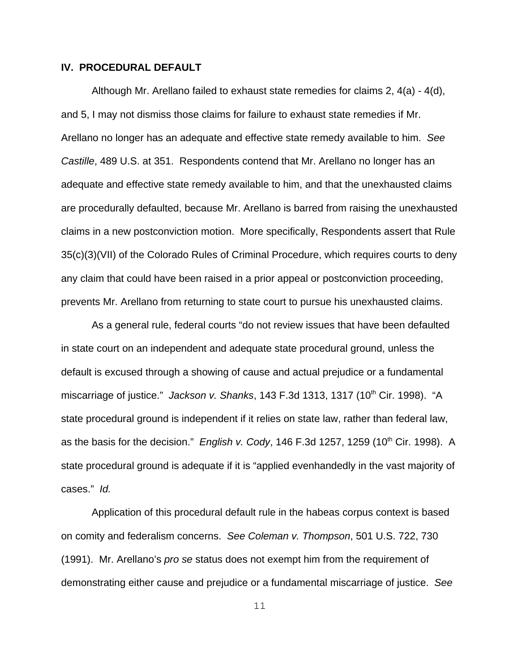## **IV. PROCEDURAL DEFAULT**

Although Mr. Arellano failed to exhaust state remedies for claims 2, 4(a) - 4(d), and 5, I may not dismiss those claims for failure to exhaust state remedies if Mr. Arellano no longer has an adequate and effective state remedy available to him. See Castille, 489 U.S. at 351. Respondents contend that Mr. Arellano no longer has an adequate and effective state remedy available to him, and that the unexhausted claims are procedurally defaulted, because Mr. Arellano is barred from raising the unexhausted claims in a new postconviction motion. More specifically, Respondents assert that Rule 35(c)(3)(VII) of the Colorado Rules of Criminal Procedure, which requires courts to deny any claim that could have been raised in a prior appeal or postconviction proceeding, prevents Mr. Arellano from returning to state court to pursue his unexhausted claims.

As a general rule, federal courts "do not review issues that have been defaulted in state court on an independent and adequate state procedural ground, unless the default is excused through a showing of cause and actual prejudice or a fundamental miscarriage of justice." Jackson v. Shanks, 143 F.3d 1313, 1317 (10<sup>th</sup> Cir. 1998). "A state procedural ground is independent if it relies on state law, rather than federal law, as the basis for the decision." English v. Cody, 146 F.3d 1257, 1259 (10<sup>th</sup> Cir. 1998). A state procedural ground is adequate if it is "applied evenhandedly in the vast majority of cases." Id.

Application of this procedural default rule in the habeas corpus context is based on comity and federalism concerns. See Coleman v. Thompson, 501 U.S. 722, 730 (1991). Mr. Arellano's pro se status does not exempt him from the requirement of demonstrating either cause and prejudice or a fundamental miscarriage of justice. See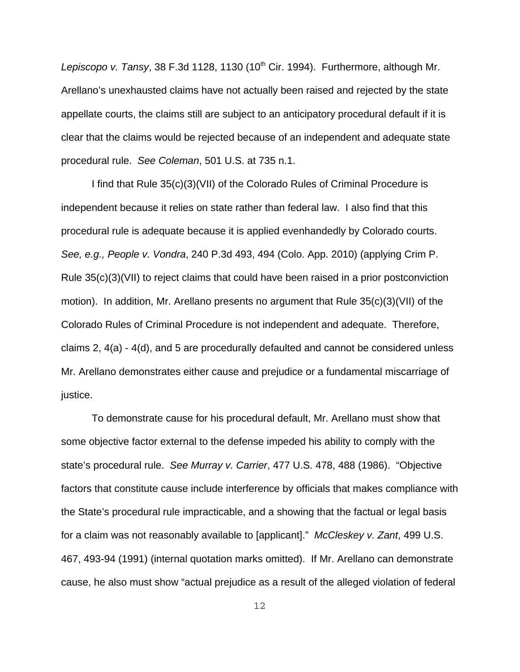Lepiscopo v. Tansy, 38 F.3d 1128, 1130 (10<sup>th</sup> Cir. 1994). Furthermore, although Mr. Arellano's unexhausted claims have not actually been raised and rejected by the state appellate courts, the claims still are subject to an anticipatory procedural default if it is clear that the claims would be rejected because of an independent and adequate state procedural rule. See Coleman, 501 U.S. at 735 n.1.

I find that Rule 35(c)(3)(VII) of the Colorado Rules of Criminal Procedure is independent because it relies on state rather than federal law. I also find that this procedural rule is adequate because it is applied evenhandedly by Colorado courts. See, e.g., People v. Vondra, 240 P.3d 493, 494 (Colo. App. 2010) (applying Crim P. Rule 35(c)(3)(VII) to reject claims that could have been raised in a prior postconviction motion). In addition, Mr. Arellano presents no argument that Rule 35(c)(3)(VII) of the Colorado Rules of Criminal Procedure is not independent and adequate. Therefore, claims 2, 4(a) - 4(d), and 5 are procedurally defaulted and cannot be considered unless Mr. Arellano demonstrates either cause and prejudice or a fundamental miscarriage of justice.

To demonstrate cause for his procedural default, Mr. Arellano must show that some objective factor external to the defense impeded his ability to comply with the state's procedural rule. See Murray v. Carrier, 477 U.S. 478, 488 (1986). "Objective factors that constitute cause include interference by officials that makes compliance with the State's procedural rule impracticable, and a showing that the factual or legal basis for a claim was not reasonably available to [applicant]." McCleskey v. Zant, 499 U.S. 467, 493-94 (1991) (internal quotation marks omitted). If Mr. Arellano can demonstrate cause, he also must show "actual prejudice as a result of the alleged violation of federal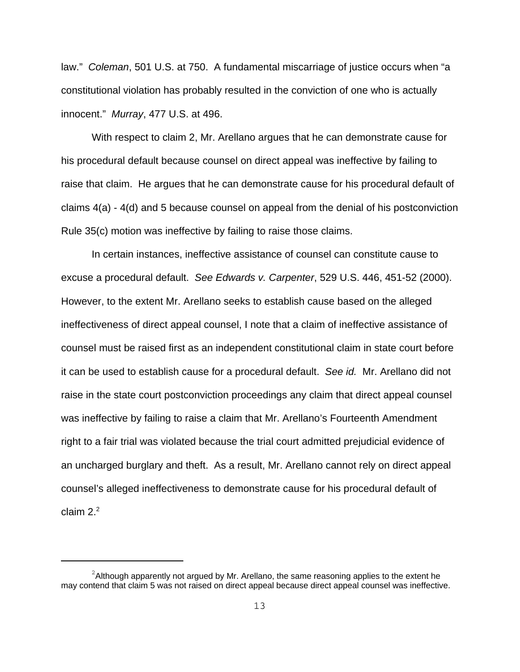law." Coleman, 501 U.S. at 750. A fundamental miscarriage of justice occurs when "a constitutional violation has probably resulted in the conviction of one who is actually innocent." Murray, 477 U.S. at 496.

With respect to claim 2, Mr. Arellano argues that he can demonstrate cause for his procedural default because counsel on direct appeal was ineffective by failing to raise that claim. He argues that he can demonstrate cause for his procedural default of claims 4(a) - 4(d) and 5 because counsel on appeal from the denial of his postconviction Rule 35(c) motion was ineffective by failing to raise those claims.

In certain instances, ineffective assistance of counsel can constitute cause to excuse a procedural default. See Edwards v. Carpenter, 529 U.S. 446, 451-52 (2000). However, to the extent Mr. Arellano seeks to establish cause based on the alleged ineffectiveness of direct appeal counsel, I note that a claim of ineffective assistance of counsel must be raised first as an independent constitutional claim in state court before it can be used to establish cause for a procedural default. See id. Mr. Arellano did not raise in the state court postconviction proceedings any claim that direct appeal counsel was ineffective by failing to raise a claim that Mr. Arellano's Fourteenth Amendment right to a fair trial was violated because the trial court admitted prejudicial evidence of an uncharged burglary and theft. As a result, Mr. Arellano cannot rely on direct appeal counsel's alleged ineffectiveness to demonstrate cause for his procedural default of claim  $2<sup>2</sup>$ 

 $^{2}$ Although apparently not argued by Mr. Arellano, the same reasoning applies to the extent he may contend that claim 5 was not raised on direct appeal because direct appeal counsel was ineffective.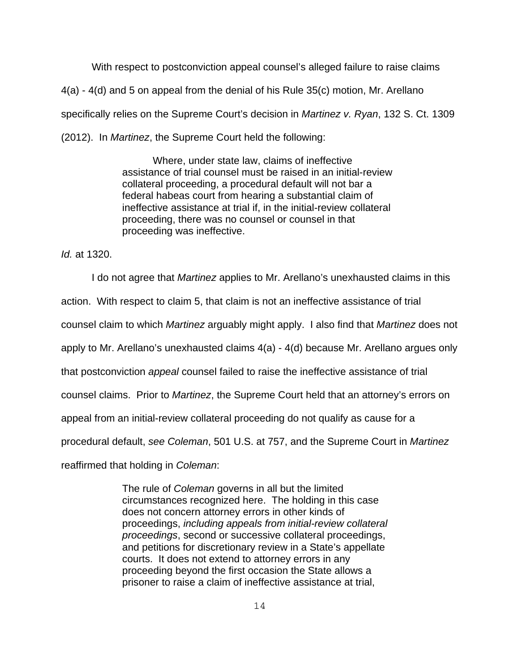With respect to postconviction appeal counsel's alleged failure to raise claims 4(a) - 4(d) and 5 on appeal from the denial of his Rule 35(c) motion, Mr. Arellano specifically relies on the Supreme Court's decision in *Martinez v. Ryan*, 132 S. Ct. 1309 (2012). In Martinez, the Supreme Court held the following:

> Where, under state law, claims of ineffective assistance of trial counsel must be raised in an initial-review collateral proceeding, a procedural default will not bar a federal habeas court from hearing a substantial claim of ineffective assistance at trial if, in the initial-review collateral proceeding, there was no counsel or counsel in that proceeding was ineffective.

Id. at 1320.

I do not agree that Martinez applies to Mr. Arellano's unexhausted claims in this action. With respect to claim 5, that claim is not an ineffective assistance of trial counsel claim to which Martinez arguably might apply. I also find that Martinez does not apply to Mr. Arellano's unexhausted claims 4(a) - 4(d) because Mr. Arellano argues only that postconviction appeal counsel failed to raise the ineffective assistance of trial counsel claims. Prior to Martinez, the Supreme Court held that an attorney's errors on appeal from an initial-review collateral proceeding do not qualify as cause for a procedural default, see Coleman, 501 U.S. at 757, and the Supreme Court in Martinez reaffirmed that holding in Coleman:

> The rule of *Coleman* governs in all but the limited circumstances recognized here. The holding in this case does not concern attorney errors in other kinds of proceedings, including appeals from initial-review collateral proceedings, second or successive collateral proceedings, and petitions for discretionary review in a State's appellate courts. It does not extend to attorney errors in any proceeding beyond the first occasion the State allows a prisoner to raise a claim of ineffective assistance at trial,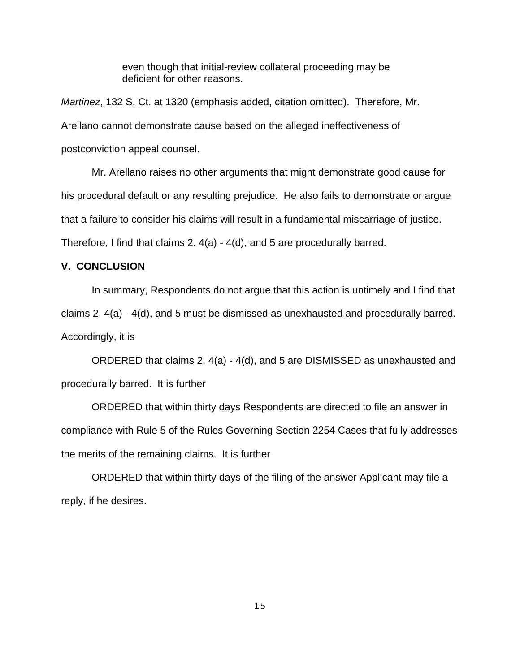even though that initial-review collateral proceeding may be deficient for other reasons.

Martinez, 132 S. Ct. at 1320 (emphasis added, citation omitted). Therefore, Mr. Arellano cannot demonstrate cause based on the alleged ineffectiveness of postconviction appeal counsel.

Mr. Arellano raises no other arguments that might demonstrate good cause for his procedural default or any resulting prejudice. He also fails to demonstrate or argue that a failure to consider his claims will result in a fundamental miscarriage of justice. Therefore, I find that claims 2, 4(a) - 4(d), and 5 are procedurally barred.

# **V. CONCLUSION**

In summary, Respondents do not argue that this action is untimely and I find that claims 2, 4(a) - 4(d), and 5 must be dismissed as unexhausted and procedurally barred. Accordingly, it is

ORDERED that claims 2, 4(a) - 4(d), and 5 are DISMISSED as unexhausted and procedurally barred. It is further

ORDERED that within thirty days Respondents are directed to file an answer in compliance with Rule 5 of the Rules Governing Section 2254 Cases that fully addresses the merits of the remaining claims. It is further

ORDERED that within thirty days of the filing of the answer Applicant may file a reply, if he desires.